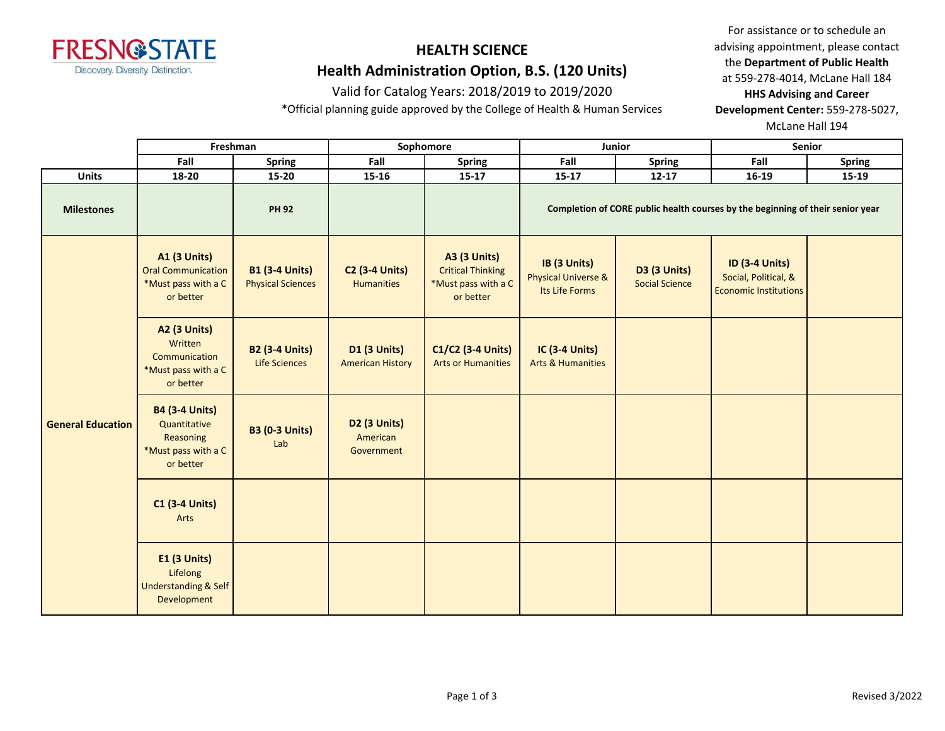

# **HEALTH SCIENCE**

# **Health Administration Option, B.S. (120 Units)**

### Valid for Catalog Years: 2018/2019 to 2019/2020

\*Official planning guide approved by the College of Health & Human Services

For assistance or to schedule an advising appointment, please contact the **Department of Public Health** at 559-278-4014, McLane Hall 184 **HHS Advising and Career** 

**Development Center:** 559-278-5027,

McLane Hall 194

|                          | Freshman                                                                               |                                                   |                                                | Sophomore                                                                           |                                                                  | Junior                                       |                                                                                | Senior        |  |
|--------------------------|----------------------------------------------------------------------------------------|---------------------------------------------------|------------------------------------------------|-------------------------------------------------------------------------------------|------------------------------------------------------------------|----------------------------------------------|--------------------------------------------------------------------------------|---------------|--|
|                          | Fall                                                                                   | Spring                                            | Fall                                           | <b>Spring</b>                                                                       | Fall                                                             | <b>Spring</b>                                | Fall                                                                           | <b>Spring</b> |  |
| <b>Units</b>             | 18-20                                                                                  | $15 - 20$                                         | $15 - 16$                                      | $15 - 17$                                                                           | $15 - 17$                                                        | $12 - 17$                                    | $16 - 19$                                                                      | 15-19         |  |
| <b>Milestones</b>        |                                                                                        | <b>PH 92</b>                                      |                                                |                                                                                     |                                                                  |                                              | Completion of CORE public health courses by the beginning of their senior year |               |  |
|                          | <b>A1 (3 Units)</b><br><b>Oral Communication</b><br>*Must pass with a C<br>or better   | <b>B1 (3-4 Units)</b><br><b>Physical Sciences</b> | <b>C2 (3-4 Units)</b><br>Humanities            | <b>A3 (3 Units)</b><br><b>Critical Thinking</b><br>*Must pass with a C<br>or better | IB (3 Units)<br><b>Physical Universe &amp;</b><br>Its Life Forms | <b>D3 (3 Units)</b><br><b>Social Science</b> | <b>ID (3-4 Units)</b><br>Social, Political, &<br><b>Economic Institutions</b>  |               |  |
|                          | <b>A2 (3 Units)</b><br>Written<br>Communication<br>*Must pass with a C<br>or better    | <b>B2 (3-4 Units)</b><br>Life Sciences            | <b>D1 (3 Units)</b><br><b>American History</b> | C1/C2 (3-4 Units)<br><b>Arts or Humanities</b>                                      | <b>IC (3-4 Units)</b><br><b>Arts &amp; Humanities</b>            |                                              |                                                                                |               |  |
| <b>General Education</b> | <b>B4 (3-4 Units)</b><br>Quantitative<br>Reasoning<br>*Must pass with a C<br>or better | <b>B3 (0-3 Units)</b><br>Lab                      | D2 (3 Units)<br>American<br>Government         |                                                                                     |                                                                  |                                              |                                                                                |               |  |
|                          | <b>C1 (3-4 Units)</b><br>Arts                                                          |                                                   |                                                |                                                                                     |                                                                  |                                              |                                                                                |               |  |
|                          | <b>E1 (3 Units)</b><br>Lifelong<br><b>Understanding &amp; Self</b><br>Development      |                                                   |                                                |                                                                                     |                                                                  |                                              |                                                                                |               |  |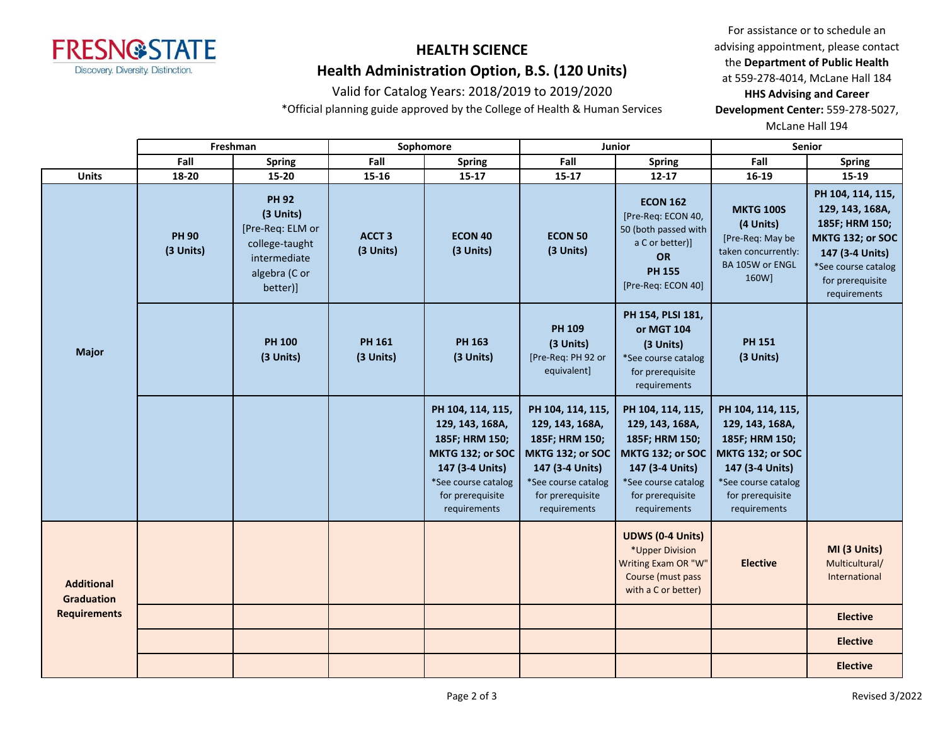

### Valid for Catalog Years: 2018/2019 to 2019/2020

\*Official planning guide approved by the College of Health & Human Services

For assistance or to schedule an advising appointment, please contact the **Department of Public Health** at 559-278-4014, McLane Hall 184 **HHS Advising and Career** 

**Development Center:** 559-278-5027,

McLane Hall 194

|                                        |                           | Freshman                                                                                                     |                            | Sophomore                                                                                                                                                |                                                                                                                                                                 | Junior                                                                                                                                                   |                                                                                                                                                          | Senior                                                                                                                                                   |
|----------------------------------------|---------------------------|--------------------------------------------------------------------------------------------------------------|----------------------------|----------------------------------------------------------------------------------------------------------------------------------------------------------|-----------------------------------------------------------------------------------------------------------------------------------------------------------------|----------------------------------------------------------------------------------------------------------------------------------------------------------|----------------------------------------------------------------------------------------------------------------------------------------------------------|----------------------------------------------------------------------------------------------------------------------------------------------------------|
|                                        | Fall                      | <b>Spring</b>                                                                                                | Fall                       | <b>Spring</b>                                                                                                                                            | Fall                                                                                                                                                            | <b>Spring</b>                                                                                                                                            | Fall                                                                                                                                                     | <b>Spring</b>                                                                                                                                            |
| <b>Units</b>                           | 18-20                     | 15-20                                                                                                        | $15 - 16$                  | $15 - 17$                                                                                                                                                | $15 - 17$                                                                                                                                                       | $12 - 17$                                                                                                                                                | 16-19                                                                                                                                                    | 15-19                                                                                                                                                    |
| <b>Major</b>                           | <b>PH 90</b><br>(3 Units) | <b>PH 92</b><br>(3 Units)<br>[Pre-Req: ELM or<br>college-taught<br>intermediate<br>algebra (C or<br>better)] | <b>ACCT 3</b><br>(3 Units) | <b>ECON 40</b><br>(3 Units)                                                                                                                              | <b>ECON 50</b><br>(3 Units)                                                                                                                                     | <b>ECON 162</b><br>[Pre-Req: ECON 40,<br>50 (both passed with<br>a C or better)]<br>OR<br><b>PH 155</b><br>[Pre-Req: ECON 40]                            | <b>MKTG 100S</b><br>(4 Units)<br>[Pre-Req: May be<br>taken concurrently:<br>BA 105W or ENGL<br>160W]                                                     | PH 104, 114, 115,<br>129, 143, 168A,<br>185F; HRM 150;<br>MKTG 132; or SOC<br>147 (3-4 Units)<br>*See course catalog<br>for prerequisite<br>requirements |
|                                        |                           | <b>PH 100</b><br>(3 Units)                                                                                   | <b>PH 161</b><br>(3 Units) | <b>PH 163</b><br>(3 Units)                                                                                                                               | <b>PH 109</b><br>(3 Units)<br>[Pre-Req: PH 92 or<br>equivalent]                                                                                                 | PH 154, PLSI 181,<br>or MGT 104<br>(3 Units)<br>*See course catalog<br>for prerequisite<br>requirements                                                  | <b>PH 151</b><br>(3 Units)                                                                                                                               |                                                                                                                                                          |
|                                        |                           |                                                                                                              |                            | PH 104, 114, 115,<br>129, 143, 168A,<br>185F; HRM 150;<br>MKTG 132; or SOC<br>147 (3-4 Units)<br>*See course catalog<br>for prerequisite<br>requirements | PH 104, 114, 115,<br>129, 143, 168A,<br>185F; HRM 150;<br><b>MKTG 132; or SOC</b><br>147 (3-4 Units)<br>*See course catalog<br>for prerequisite<br>requirements | PH 104, 114, 115,<br>129, 143, 168A,<br>185F; HRM 150;<br>MKTG 132; or SOC<br>147 (3-4 Units)<br>*See course catalog<br>for prerequisite<br>requirements | PH 104, 114, 115,<br>129, 143, 168A,<br>185F; HRM 150;<br>MKTG 132; or SOC<br>147 (3-4 Units)<br>*See course catalog<br>for prerequisite<br>requirements |                                                                                                                                                          |
| <b>Additional</b><br><b>Graduation</b> |                           |                                                                                                              |                            |                                                                                                                                                          |                                                                                                                                                                 | <b>UDWS (0-4 Units)</b><br>*Upper Division<br>Writing Exam OR "W"<br>Course (must pass<br>with a C or better)                                            | <b>Elective</b>                                                                                                                                          | MI (3 Units)<br>Multicultural/<br>International                                                                                                          |
| <b>Requirements</b>                    |                           |                                                                                                              |                            |                                                                                                                                                          |                                                                                                                                                                 |                                                                                                                                                          |                                                                                                                                                          | <b>Elective</b>                                                                                                                                          |
|                                        |                           |                                                                                                              |                            |                                                                                                                                                          |                                                                                                                                                                 |                                                                                                                                                          |                                                                                                                                                          | <b>Elective</b>                                                                                                                                          |
|                                        |                           |                                                                                                              |                            |                                                                                                                                                          |                                                                                                                                                                 |                                                                                                                                                          |                                                                                                                                                          | <b>Elective</b>                                                                                                                                          |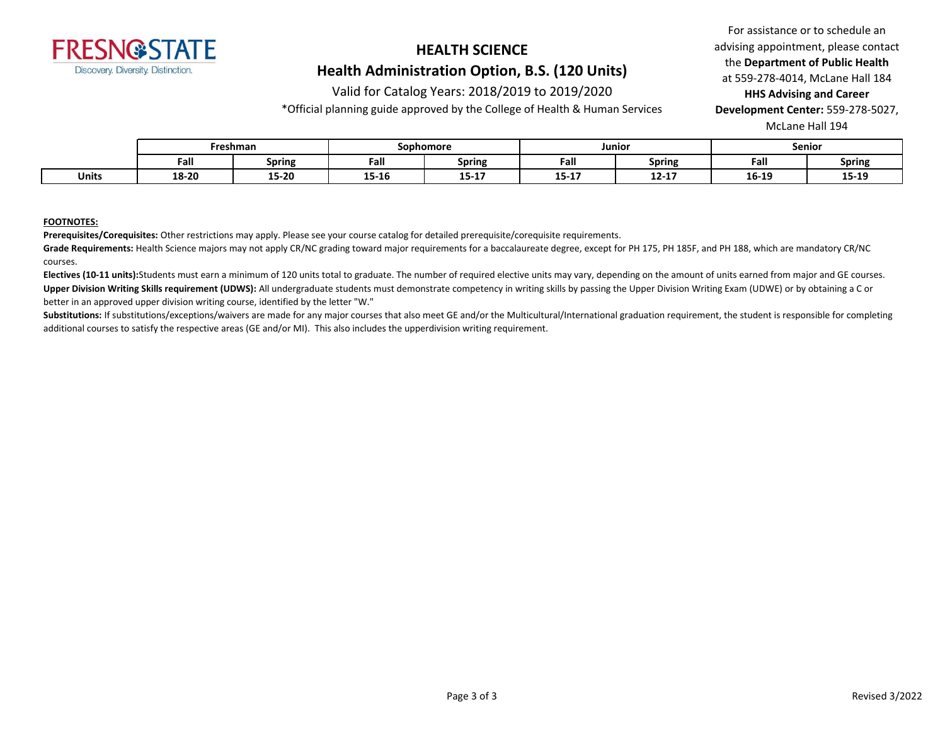

### Valid for Catalog Years: 2018/2019 to 2019/2020

\*Official planning guide approved by the College of Health & Human Services

For assistance or to schedule an advising appointment, please contact the **Department of Public Health** at 559-278-4014, McLane Hall 184 **HHS Advising and Career Development Center:** 559-278-5027,

McLane Hall 194

|              | Freshman |               | Sophomore |               | Junioı           |                | Senior |               |
|--------------|----------|---------------|-----------|---------------|------------------|----------------|--------|---------------|
|              | Fall     | <b>Spring</b> | Fall      | <b>Spring</b> | Fall             | <b>Spring</b>  | Fall   | <b>Spring</b> |
| <b>Units</b> | 18-20    | 15-20         | 15-16     | 13-T V        | $- - -$<br>13-TV | 12.17<br>14-14 | 16-19  | 15-19         |

#### **FOOTNOTES:**

**Prerequisites/Corequisites:** Other restrictions may apply. Please see your course catalog for detailed prerequisite/corequisite requirements.

Grade Requirements: Health Science majors may not apply CR/NC grading toward major requirements for a baccalaureate degree, except for PH 175, PH 185F, and PH 188, which are mandatory CR/NC courses.

**Electives (10-11 units):**Students must earn a minimum of 120 units total to graduate. The number of required elective units may vary, depending on the amount of units earned from major and GE courses. Upper Division Writing Skills requirement (UDWS): All undergraduate students must demonstrate competency in writing skills by passing the Upper Division Writing Exam (UDWE) or by obtaining a C or better in an approved upper division writing course, identified by the letter "W."

Substitutions: If substitutions/exceptions/waivers are made for any major courses that also meet GE and/or the Multicultural/International graduation requirement, the student is responsible for completing additional courses to satisfy the respective areas (GE and/or MI). This also includes the upperdivision writing requirement.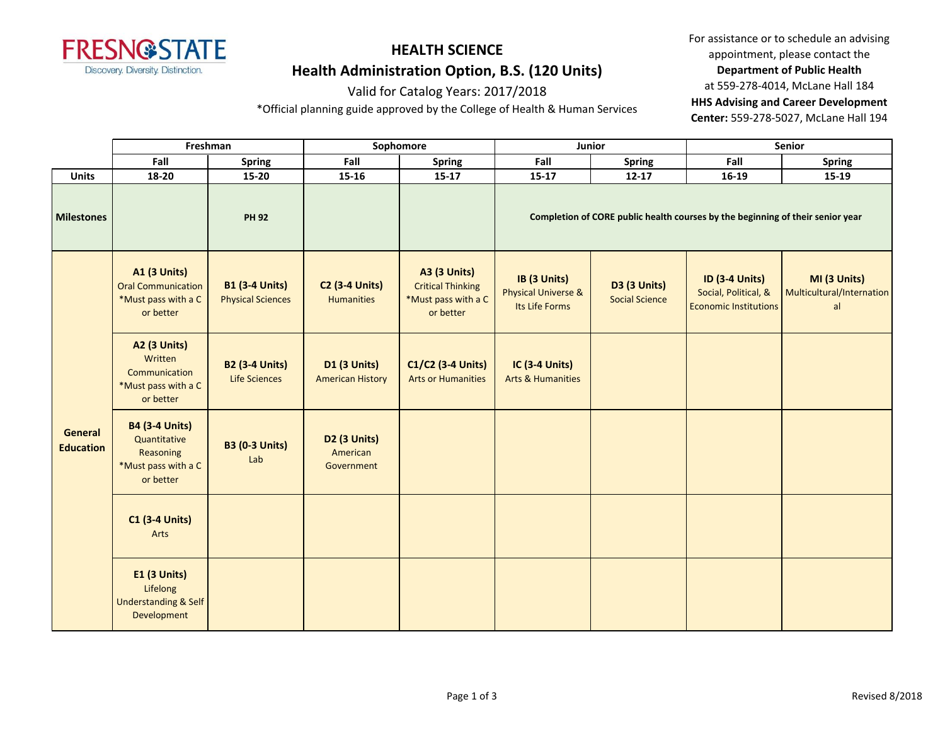

### Valid for Catalog Years: 2017/2018

\*Official planning guide approved by the College of Health & Human Services

|                             |                                                                                        | Freshman                                          |                                                | Sophomore                                                                           |                                                                  | Junior                                       |                                                                                | Senior                                          |  |
|-----------------------------|----------------------------------------------------------------------------------------|---------------------------------------------------|------------------------------------------------|-------------------------------------------------------------------------------------|------------------------------------------------------------------|----------------------------------------------|--------------------------------------------------------------------------------|-------------------------------------------------|--|
|                             | Fall                                                                                   | <b>Spring</b>                                     | Fall                                           | <b>Spring</b>                                                                       | Fall                                                             | <b>Spring</b>                                | Fall                                                                           | <b>Spring</b>                                   |  |
| <b>Units</b>                | 18-20                                                                                  | $15 - 20$                                         | $15 - 16$                                      | $15 - 17$                                                                           | $15 - 17$                                                        | $12 - 17$                                    | $16-19$                                                                        | 15-19                                           |  |
| <b>Milestones</b>           |                                                                                        | <b>PH 92</b>                                      |                                                |                                                                                     |                                                                  |                                              | Completion of CORE public health courses by the beginning of their senior year |                                                 |  |
| General<br><b>Education</b> | <b>A1 (3 Units)</b><br><b>Oral Communication</b><br>*Must pass with a C<br>or better   | <b>B1 (3-4 Units)</b><br><b>Physical Sciences</b> | <b>C2 (3-4 Units)</b><br><b>Humanities</b>     | <b>A3 (3 Units)</b><br><b>Critical Thinking</b><br>*Must pass with a C<br>or better | IB (3 Units)<br><b>Physical Universe &amp;</b><br>Its Life Forms | <b>D3 (3 Units)</b><br><b>Social Science</b> | <b>ID (3-4 Units)</b><br>Social, Political, &<br><b>Economic Institutions</b>  | MI (3 Units)<br>Multicultural/Internation<br>al |  |
|                             | <b>A2 (3 Units)</b><br>Written<br>Communication<br>*Must pass with a C<br>or better    | <b>B2 (3-4 Units)</b><br>Life Sciences            | <b>D1 (3 Units)</b><br><b>American History</b> | C1/C2 (3-4 Units)<br><b>Arts or Humanities</b>                                      | <b>IC (3-4 Units)</b><br><b>Arts &amp; Humanities</b>            |                                              |                                                                                |                                                 |  |
|                             | <b>B4 (3-4 Units)</b><br>Quantitative<br>Reasoning<br>*Must pass with a C<br>or better | <b>B3 (0-3 Units)</b><br>Lab                      | D2 (3 Units)<br>American<br>Government         |                                                                                     |                                                                  |                                              |                                                                                |                                                 |  |
|                             | <b>C1 (3-4 Units)</b><br>Arts                                                          |                                                   |                                                |                                                                                     |                                                                  |                                              |                                                                                |                                                 |  |
|                             | <b>E1 (3 Units)</b><br>Lifelong<br><b>Understanding &amp; Self</b><br>Development      |                                                   |                                                |                                                                                     |                                                                  |                                              |                                                                                |                                                 |  |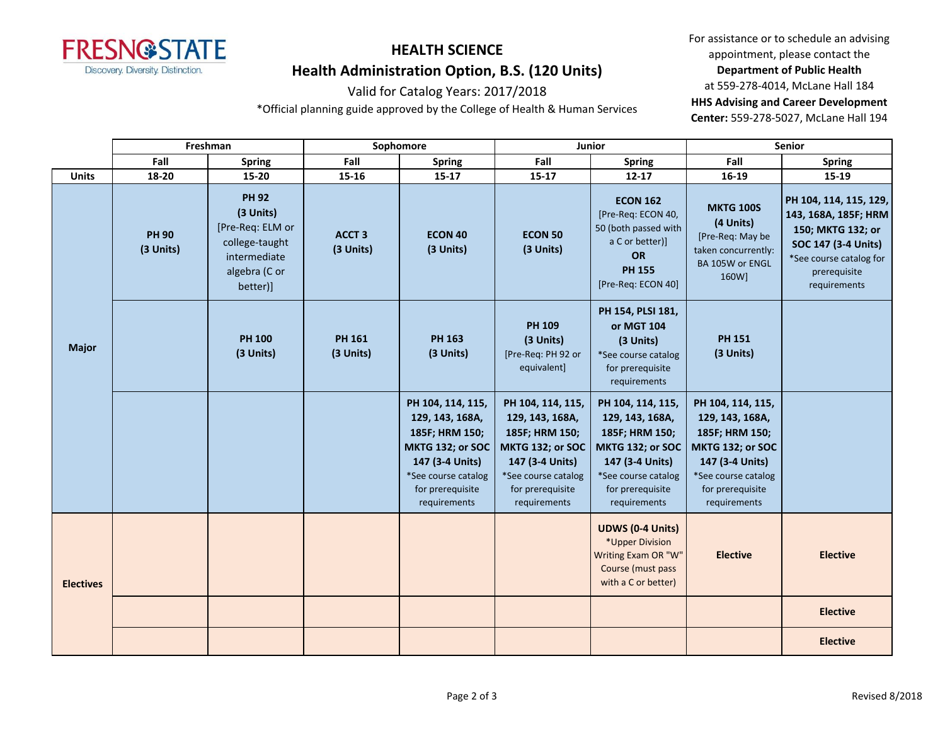

#### Valid for Catalog Years: 2017/2018

\*Official planning guide approved by the College of Health & Human Services

|                  |                           | Freshman                                                                                                     |                                | Sophomore                                                                                                                                                |                                                                                                                                                          | <b>Junior</b>                                                                                                                                            |                                                                                                                                                          | <b>Senior</b>                                                                                                                                         |
|------------------|---------------------------|--------------------------------------------------------------------------------------------------------------|--------------------------------|----------------------------------------------------------------------------------------------------------------------------------------------------------|----------------------------------------------------------------------------------------------------------------------------------------------------------|----------------------------------------------------------------------------------------------------------------------------------------------------------|----------------------------------------------------------------------------------------------------------------------------------------------------------|-------------------------------------------------------------------------------------------------------------------------------------------------------|
|                  | Fall                      | <b>Spring</b>                                                                                                | Fall                           | <b>Spring</b>                                                                                                                                            | Fall                                                                                                                                                     | <b>Spring</b>                                                                                                                                            | Fall                                                                                                                                                     | <b>Spring</b>                                                                                                                                         |
| <b>Units</b>     | 18-20                     | $15 - 20$                                                                                                    | 15-16                          | $15 - 17$                                                                                                                                                | $15 - 17$                                                                                                                                                | $12 - 17$                                                                                                                                                | 16-19                                                                                                                                                    | 15-19                                                                                                                                                 |
| <b>Major</b>     | <b>PH 90</b><br>(3 Units) | <b>PH 92</b><br>(3 Units)<br>[Pre-Req: ELM or<br>college-taught<br>intermediate<br>algebra (C or<br>better)] | ACCT <sub>3</sub><br>(3 Units) | <b>ECON 40</b><br>(3 Units)                                                                                                                              | <b>ECON 50</b><br>(3 Units)                                                                                                                              | <b>ECON 162</b><br>[Pre-Req: ECON 40,<br>50 (both passed with<br>a C or better)]<br><b>OR</b><br><b>PH 155</b><br>[Pre-Req: ECON 40]                     | <b>MKTG 100S</b><br>(4 Units)<br>[Pre-Req: May be<br>taken concurrently:<br>BA 105W or ENGL<br>160W]                                                     | PH 104, 114, 115, 129,<br>143, 168A, 185F; HRM<br>150; MKTG 132; or<br>SOC 147 (3-4 Units)<br>*See course catalog for<br>prerequisite<br>requirements |
|                  |                           | <b>PH 100</b><br>(3 Units)                                                                                   | <b>PH 161</b><br>(3 Units)     | <b>PH 163</b><br>(3 Units)                                                                                                                               | PH 109<br>(3 Units)<br>[Pre-Req: PH 92 or<br>equivalent]                                                                                                 | PH 154, PLSI 181,<br>or MGT 104<br>(3 Units)<br>*See course catalog<br>for prerequisite<br>requirements                                                  | <b>PH 151</b><br>(3 Units)                                                                                                                               |                                                                                                                                                       |
|                  |                           |                                                                                                              |                                | PH 104, 114, 115,<br>129, 143, 168A,<br>185F; HRM 150;<br>MKTG 132; or SOC<br>147 (3-4 Units)<br>*See course catalog<br>for prerequisite<br>requirements | PH 104, 114, 115,<br>129, 143, 168A,<br>185F; HRM 150;<br>MKTG 132; or SOC<br>147 (3-4 Units)<br>*See course catalog<br>for prerequisite<br>requirements | PH 104, 114, 115,<br>129, 143, 168A,<br>185F; HRM 150;<br>MKTG 132; or SOC<br>147 (3-4 Units)<br>*See course catalog<br>for prerequisite<br>requirements | PH 104, 114, 115,<br>129, 143, 168A,<br>185F; HRM 150;<br>MKTG 132; or SOC<br>147 (3-4 Units)<br>*See course catalog<br>for prerequisite<br>requirements |                                                                                                                                                       |
| <b>Electives</b> |                           |                                                                                                              |                                |                                                                                                                                                          |                                                                                                                                                          | <b>UDWS (0-4 Units)</b><br>*Upper Division<br>Writing Exam OR "W"<br>Course (must pass<br>with a C or better)                                            | <b>Elective</b>                                                                                                                                          | <b>Elective</b>                                                                                                                                       |
|                  |                           |                                                                                                              |                                |                                                                                                                                                          |                                                                                                                                                          |                                                                                                                                                          |                                                                                                                                                          | <b>Elective</b>                                                                                                                                       |
|                  |                           |                                                                                                              |                                |                                                                                                                                                          |                                                                                                                                                          |                                                                                                                                                          |                                                                                                                                                          | <b>Elective</b>                                                                                                                                       |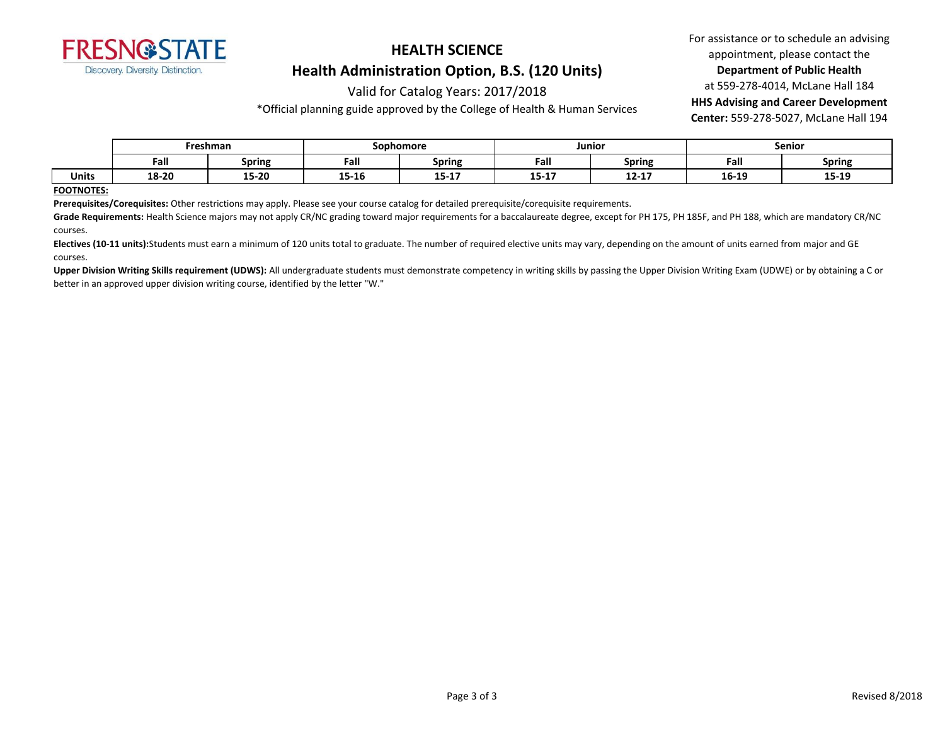

#### Valid for Catalog Years: 2017/2018

\*Official planning guide approved by the College of Health & Human Services

For assistance or to schedule an advising appointment, please contact the **Department of Public Health** at 559-278-4014, McLane Hall 184 **HHS Advising and Career Development Center:** 559-278-5027, McLane Hall 194

|       |       | Freshman | Sophomore               |                       | Junior           |                | Senior |               |
|-------|-------|----------|-------------------------|-----------------------|------------------|----------------|--------|---------------|
|       | Fal   | Spring   | Fal.                    | <b>Spring</b>         | Fall             | <b>Spring</b>  | Fall   | <b>Spring</b> |
| Units | 18-20 | 15-20    | $\overline{1}$<br>T2-TO | <b>10.17</b><br>T3-TV | $\sim$<br><br>۰. | -- --<br>14-11 | 16-19  | 15-19         |

#### **FOOTNOTES:**

**Prerequisites/Corequisites:** Other restrictions may apply. Please see your course catalog for detailed prerequisite/corequisite requirements.

Grade Requirements: Health Science majors may not apply CR/NC grading toward major requirements for a baccalaureate degree, except for PH 175, PH 185F, and PH 188, which are mandatory CR/NC courses.

Electives (10-11 units):Students must earn a minimum of 120 units total to graduate. The number of required elective units may vary, depending on the amount of units earned from major and GE courses.

Upper Division Writing Skills requirement (UDWS): All undergraduate students must demonstrate competency in writing skills by passing the Upper Division Writing Exam (UDWE) or by obtaining a C or better in an approved upper division writing course, identified by the letter "W."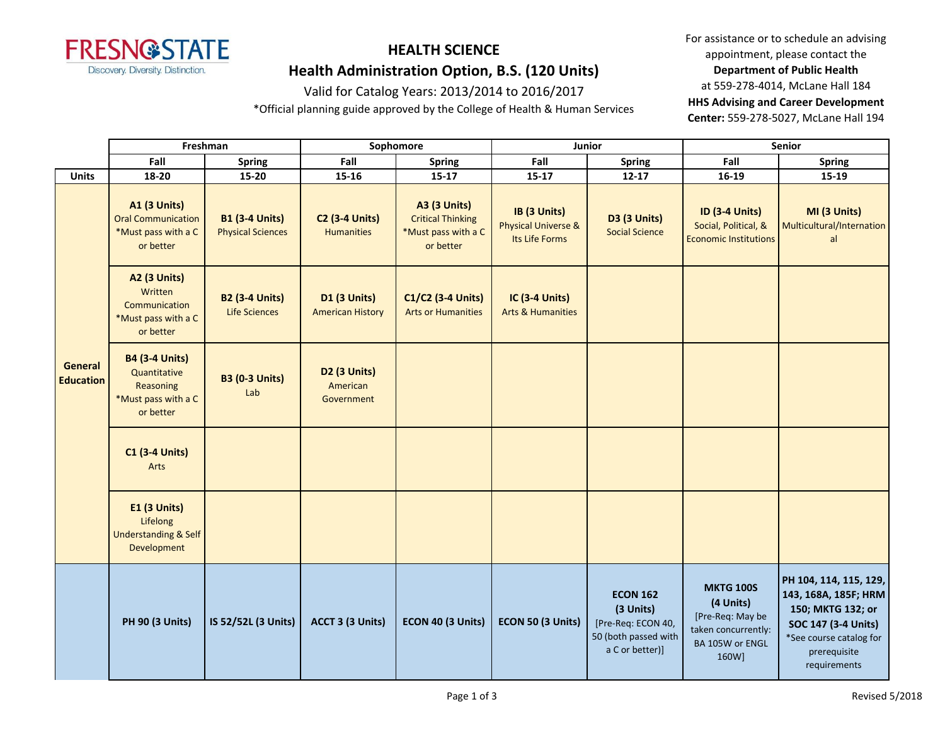

#### Valid for Catalog Years: 2013/2014 to 2016/2017

\*Official planning guide approved by the College of Health & Human Services

|                                    |                                                                                        | Freshman                                          | Sophomore                                          |                                                                                     |                                                                  | Junior                                                                                        |                                                                                                      | Senior                                                                                                                                                |
|------------------------------------|----------------------------------------------------------------------------------------|---------------------------------------------------|----------------------------------------------------|-------------------------------------------------------------------------------------|------------------------------------------------------------------|-----------------------------------------------------------------------------------------------|------------------------------------------------------------------------------------------------------|-------------------------------------------------------------------------------------------------------------------------------------------------------|
|                                    | Fall                                                                                   | <b>Spring</b>                                     | Fall                                               | <b>Spring</b>                                                                       | Fall                                                             | <b>Spring</b>                                                                                 | Fall                                                                                                 | Spring                                                                                                                                                |
| <b>Units</b>                       | 18-20                                                                                  | 15-20                                             | 15-16                                              | $15 - 17$                                                                           | $15 - 17$                                                        | $12 - 17$                                                                                     | 16-19                                                                                                | 15-19                                                                                                                                                 |
|                                    | A1 (3 Units)<br><b>Oral Communication</b><br>*Must pass with a C<br>or better          | <b>B1 (3-4 Units)</b><br><b>Physical Sciences</b> | <b>C2 (3-4 Units)</b><br><b>Humanities</b>         | <b>A3 (3 Units)</b><br><b>Critical Thinking</b><br>*Must pass with a C<br>or better | IB (3 Units)<br><b>Physical Universe &amp;</b><br>Its Life Forms | D3 (3 Units)<br><b>Social Science</b>                                                         | <b>ID (3-4 Units)</b><br>Social, Political, &<br><b>Economic Institutions</b>                        | MI (3 Units)<br>Multicultural/Internation<br>al                                                                                                       |
|                                    | <b>A2 (3 Units)</b><br>Written<br>Communication<br>*Must pass with a C<br>or better    | <b>B2 (3-4 Units)</b><br><b>Life Sciences</b>     | D1 (3 Units)<br><b>American History</b>            | C1/C2 (3-4 Units)<br><b>Arts or Humanities</b>                                      | <b>IC (3-4 Units)</b><br><b>Arts &amp; Humanities</b>            |                                                                                               |                                                                                                      |                                                                                                                                                       |
| <b>General</b><br><b>Education</b> | <b>B4 (3-4 Units)</b><br>Quantitative<br>Reasoning<br>*Must pass with a C<br>or better | <b>B3 (0-3 Units)</b><br>Lab                      | D <sub>2</sub> (3 Units)<br>American<br>Government |                                                                                     |                                                                  |                                                                                               |                                                                                                      |                                                                                                                                                       |
|                                    | <b>C1 (3-4 Units)</b><br>Arts                                                          |                                                   |                                                    |                                                                                     |                                                                  |                                                                                               |                                                                                                      |                                                                                                                                                       |
|                                    | E1 (3 Units)<br>Lifelong<br><b>Understanding &amp; Self</b><br>Development             |                                                   |                                                    |                                                                                     |                                                                  |                                                                                               |                                                                                                      |                                                                                                                                                       |
|                                    | <b>PH 90 (3 Units)</b>                                                                 | IS 52/52L (3 Units)                               | ACCT 3 (3 Units)                                   | ECON 40 (3 Units)                                                                   | ECON 50 (3 Units)                                                | <b>ECON 162</b><br>(3 Units)<br>[Pre-Req: ECON 40,<br>50 (both passed with<br>a C or better)] | <b>MKTG 100S</b><br>(4 Units)<br>[Pre-Req: May be<br>taken concurrently:<br>BA 105W or ENGL<br>160W] | PH 104, 114, 115, 129,<br>143, 168A, 185F; HRM<br>150; MKTG 132; or<br>SOC 147 (3-4 Units)<br>*See course catalog for<br>prerequisite<br>requirements |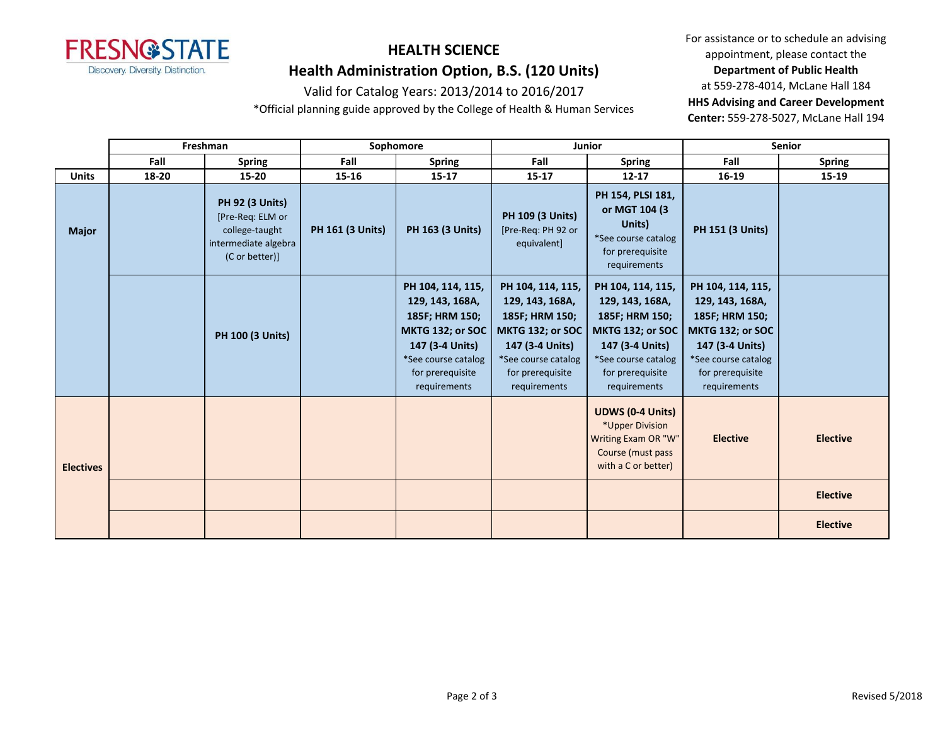

#### Valid for Catalog Years: 2013/2014 to 2016/2017

\*Official planning guide approved by the College of Health & Human Services

|                  |       | Freshman                                                                                               |                         | Sophomore                                                                                                                                                |                                                                                                                                                                 | Junior                                                                                                                                                   |                                                                                                                                                          | <b>Senior</b>   |
|------------------|-------|--------------------------------------------------------------------------------------------------------|-------------------------|----------------------------------------------------------------------------------------------------------------------------------------------------------|-----------------------------------------------------------------------------------------------------------------------------------------------------------------|----------------------------------------------------------------------------------------------------------------------------------------------------------|----------------------------------------------------------------------------------------------------------------------------------------------------------|-----------------|
|                  | Fall  | <b>Spring</b>                                                                                          | Fall                    | <b>Spring</b>                                                                                                                                            | Fall                                                                                                                                                            | <b>Spring</b>                                                                                                                                            | Fall                                                                                                                                                     | <b>Spring</b>   |
| <b>Units</b>     | 18-20 | 15-20                                                                                                  | 15-16                   | $15 - 17$                                                                                                                                                | $15 - 17$                                                                                                                                                       | $12 - 17$                                                                                                                                                | 16-19                                                                                                                                                    | 15-19           |
| <b>Major</b>     |       | <b>PH 92 (3 Units)</b><br>[Pre-Req: ELM or<br>college-taught<br>intermediate algebra<br>(C or better)] | <b>PH 161 (3 Units)</b> | <b>PH 163 (3 Units)</b>                                                                                                                                  | <b>PH 109 (3 Units)</b><br>[Pre-Req: PH 92 or<br>equivalent]                                                                                                    | PH 154, PLSI 181,<br>or MGT 104 (3)<br>Units)<br>*See course catalog<br>for prerequisite<br>requirements                                                 | <b>PH 151 (3 Units)</b>                                                                                                                                  |                 |
|                  |       | <b>PH 100 (3 Units)</b>                                                                                |                         | PH 104, 114, 115,<br>129, 143, 168A,<br>185F; HRM 150;<br>MKTG 132; or SOC<br>147 (3-4 Units)<br>*See course catalog<br>for prerequisite<br>requirements | PH 104, 114, 115,<br>129, 143, 168A,<br>185F; HRM 150;<br><b>MKTG 132; or SOC</b><br>147 (3-4 Units)<br>*See course catalog<br>for prerequisite<br>requirements | PH 104, 114, 115,<br>129, 143, 168A,<br>185F; HRM 150;<br>MKTG 132; or SOC<br>147 (3-4 Units)<br>*See course catalog<br>for prerequisite<br>requirements | PH 104, 114, 115,<br>129, 143, 168A,<br>185F; HRM 150;<br>MKTG 132; or SOC<br>147 (3-4 Units)<br>*See course catalog<br>for prerequisite<br>requirements |                 |
| <b>Electives</b> |       |                                                                                                        |                         |                                                                                                                                                          |                                                                                                                                                                 | <b>UDWS (0-4 Units)</b><br>*Upper Division<br>Writing Exam OR "W"<br>Course (must pass<br>with a C or better)                                            | <b>Elective</b>                                                                                                                                          | <b>Elective</b> |
|                  |       |                                                                                                        |                         |                                                                                                                                                          |                                                                                                                                                                 |                                                                                                                                                          |                                                                                                                                                          | <b>Elective</b> |
|                  |       |                                                                                                        |                         |                                                                                                                                                          |                                                                                                                                                                 |                                                                                                                                                          |                                                                                                                                                          | <b>Elective</b> |